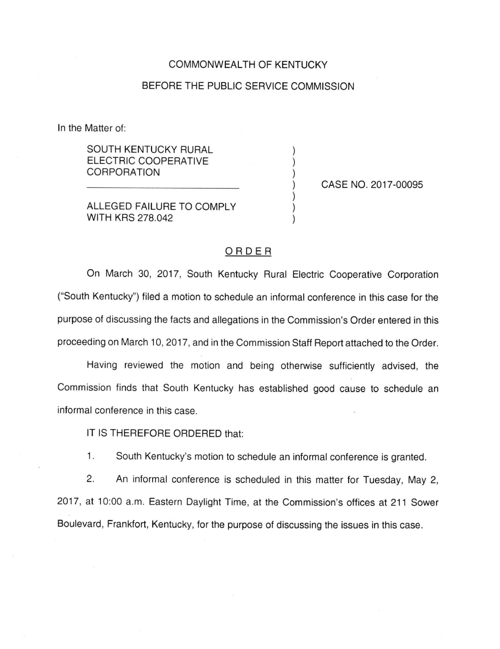## COMMONWEALTH OF KENTUCKY

## BEFORE THE PUBLIC SERVICE COMMISSION

In the Matter of:

SOUTH KENTUCKY RURAL ELECTRIC COOPERATIVE CORPORATION

ALLEGED FAILURE TO COMPLY WITH KRS 278.042

CASE NO. 2017-00095

## ORDER

On March 30, 2017, South Kentucky Rural Electric Cooperative Corporation ("South Kentucky") filed a motion to schedule an informal conference in this case for the purpose of discussing the facts and allegations in the Commission's Order entered in this proceeding on March 10, 2017, and in the Commission Staff Report attached to the Order.

Having reviewed the motion and being otherwise sufficiently advised, the Commission finds that South Kentucky has established good cause to schedule an informal conference in this case.

IT IS THEREFORE ORDERED that:

1. South Kentucky's motion to schedule an informal conference is granted.

2. An informal conference is scheduled in this matter for Tuesday, May 2, 2017, at 10:00 a.m. Eastern Daylight Time, at the Commission's offices at 211 Sower Boulevard, Frankfort, Kentucky, for the purpose of discussing the issues in this case.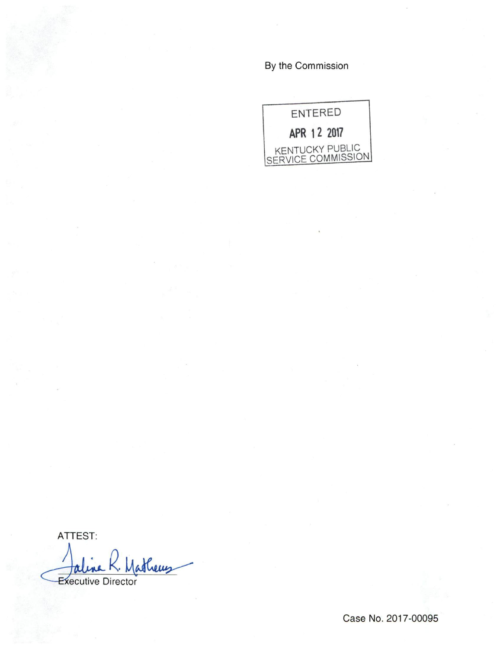By the Commission



ATTEST: Jaline K. Mathews

Case No. 2017-00095